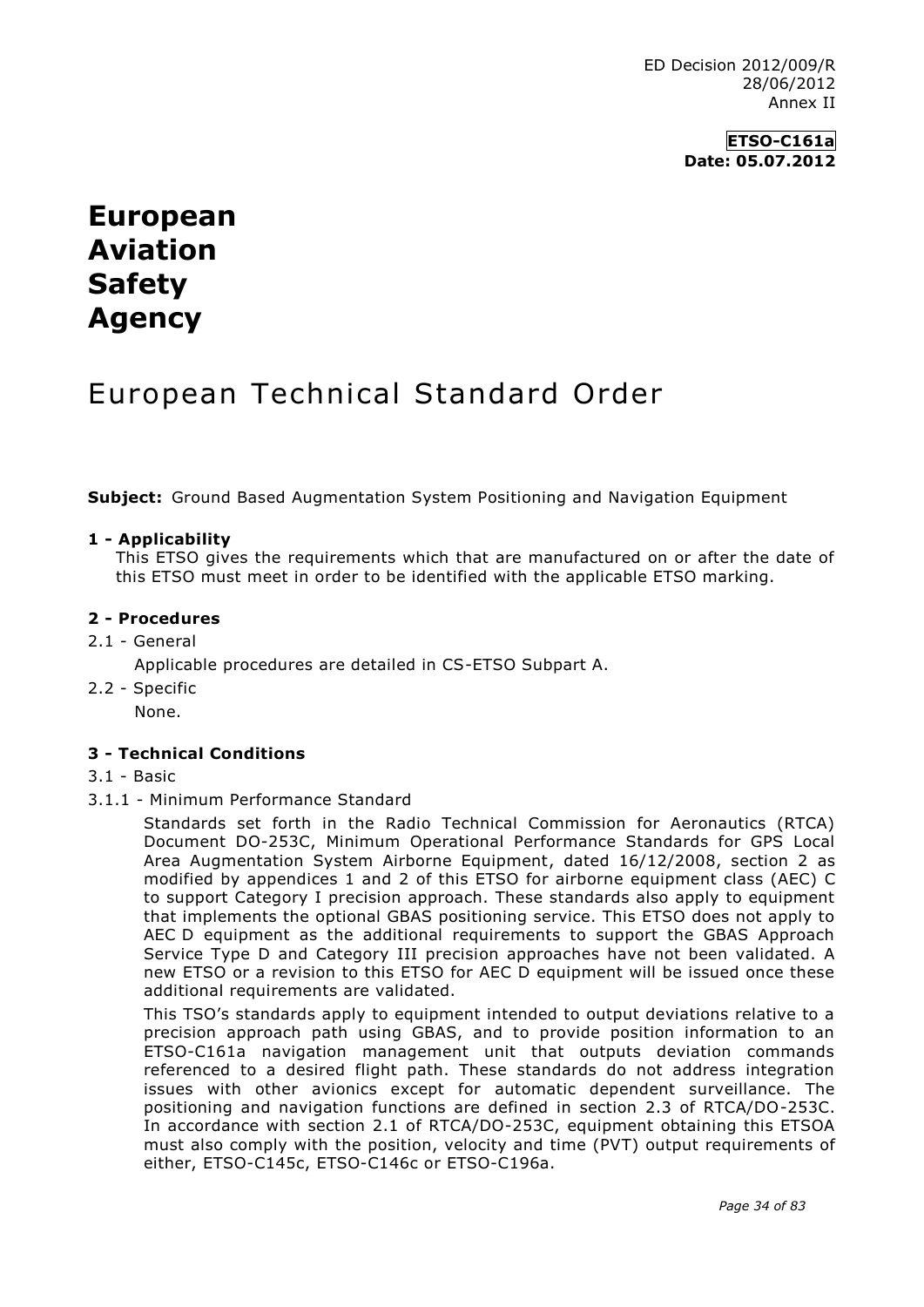# **ETSO-C161a Date: 05.07.2012**

# **European Aviation Safety Agency**

# European Technical Standard Order

**Subject:** Ground Based Augmentation System Positioning and Navigation Equipment

#### **1 - Applicability**

This ETSO gives the requirements which that are manufactured on or after the date of this ETSO must meet in order to be identified with the applicable ETSO marking.

#### **2 - Procedures**

2.1 - General

Applicable procedures are detailed in CS-ETSO Subpart A.

2.2 - Specific

None.

#### **3 - Technical Conditions**

- 3.1 Basic
- 3.1.1 Minimum Performance Standard

Standards set forth in the Radio Technical Commission for Aeronautics (RTCA) Document DO-253C, Minimum Operational Performance Standards for GPS Local Area Augmentation System Airborne Equipment, dated 16/12/2008, section 2 as modified by appendices 1 and 2 of this ETSO for airborne equipment class (AEC) C to support Category I precision approach. These standards also apply to equipment that implements the optional GBAS positioning service. This ETSO does not apply to AEC D equipment as the additional requirements to support the GBAS Approach Service Type D and Category III precision approaches have not been validated. A new ETSO or a revision to this ETSO for AEC D equipment will be issued once these additional requirements are validated.

This TSO's standards apply to equipment intended to output deviations relative to a precision approach path using GBAS, and to provide position information to an ETSO-C161a navigation management unit that outputs deviation commands referenced to a desired flight path. These standards do not address integration issues with other avionics except for automatic dependent surveillance. The positioning and navigation functions are defined in section 2.3 of RTCA/DO-253C. In accordance with section 2.1 of RTCA/DO-253C, equipment obtaining this ETSOA must also comply with the position, velocity and time (PVT) output requirements of either, ETSO-C145c, ETSO-C146c or ETSO-C196a.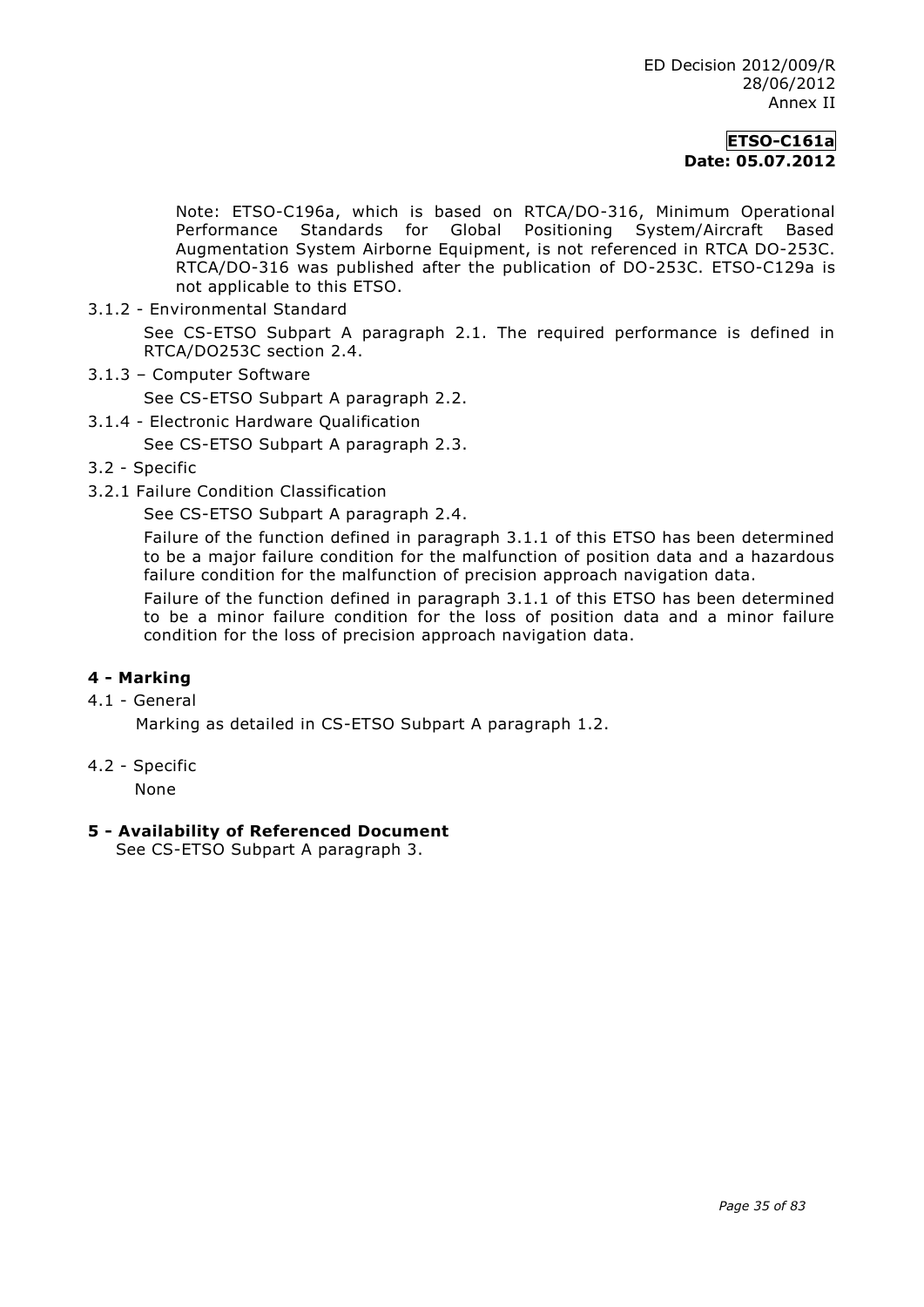# **ETSO-C161a Date: 05.07.2012**

Note: ETSO-C196a, which is based on RTCA/DO-316, Minimum Operational<br>Performance Standards for Global Positioning System/Aircraft Based Performance Standards for Global Positioning System/Aircraft Based Augmentation System Airborne Equipment, is not referenced in RTCA DO-253C. RTCA/DO-316 was published after the publication of DO-253C. ETSO-C129a is not applicable to this ETSO.

3.1.2 - Environmental Standard

See CS-ETSO Subpart A paragraph 2.1. The required performance is defined in RTCA/DO253C section 2.4.

3.1.3 – Computer Software

See CS-ETSO Subpart A paragraph 2.2.

3.1.4 - Electronic Hardware Qualification

See CS-ETSO Subpart A paragraph 2.3.

- 3.2 Specific
- 3.2.1 Failure Condition Classification

See CS-ETSO Subpart A paragraph 2.4.

Failure of the function defined in paragraph 3.1.1 of this ETSO has been determined to be a major failure condition for the malfunction of position data and a hazardous failure condition for the malfunction of precision approach navigation data.

Failure of the function defined in paragraph 3.1.1 of this ETSO has been determined to be a minor failure condition for the loss of position data and a minor failure condition for the loss of precision approach navigation data.

### **4 - Marking**

4.1 - General

Marking as detailed in CS-ETSO Subpart A paragraph 1.2.

4.2 - Specific

None

#### **5 - Availability of Referenced Document**

See CS-ETSO Subpart A paragraph 3.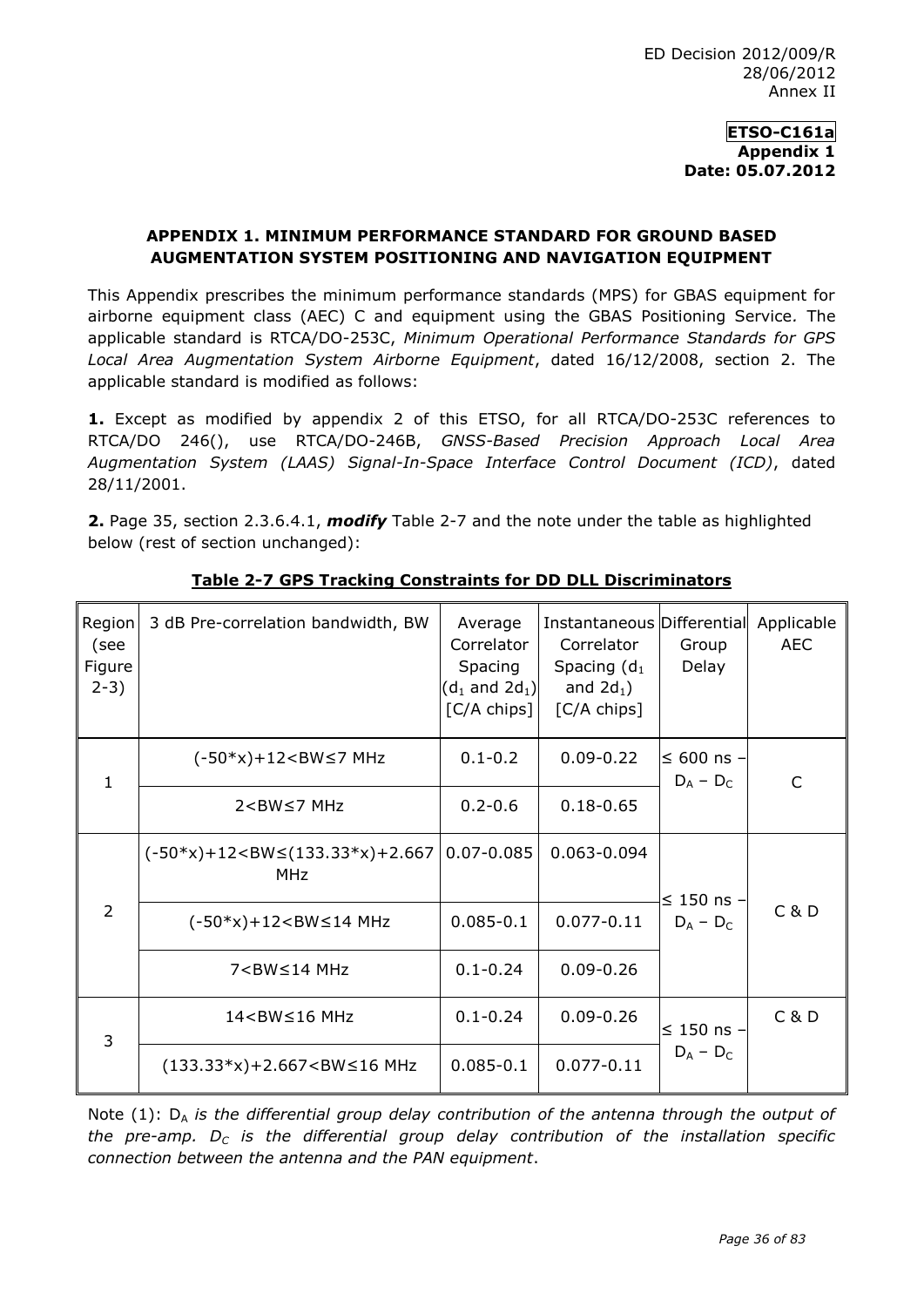### **ETSO-C161a Appendix 1 Date: 05.07.2012**

# **APPENDIX 1. MINIMUM PERFORMANCE STANDARD FOR GROUND BASED AUGMENTATION SYSTEM POSITIONING AND NAVIGATION EQUIPMENT**

This Appendix prescribes the minimum performance standards (MPS) for GBAS equipment for airborne equipment class (AEC) C and equipment using the GBAS Positioning Service*.* The applicable standard is RTCA/DO-253C, *Minimum Operational Performance Standards for GPS Local Area Augmentation System Airborne Equipment*, dated 16/12/2008, section 2. The applicable standard is modified as follows:

**1.** Except as modified by appendix 2 of this ETSO, for all RTCA/DO-253C references to RTCA/DO 246(), use RTCA/DO-246B, *GNSS-Based Precision Approach Local Area Augmentation System (LAAS) Signal-In-Space Interface Control Document (ICD)*, dated 28/11/2001.

**2.** Page 35, section 2.3.6.4.1, *modify* Table 2-7 and the note under the table as highlighted below (rest of section unchanged):

| Region<br>(see<br>Figure<br>$2-3)$ | 3 dB Pre-correlation bandwidth, BW                                                                                                                                                            | Average<br>Correlator<br>Spacing<br>$(d_1 \text{ and } 2d_1)$<br>[C/A chips] | Instantaneous Differential<br>Correlator<br>Spacing $(d_1)$<br>and $2d_1$ )<br>[C/A chips] | Group<br>Delay                 | Applicable<br><b>AEC</b> |
|------------------------------------|-----------------------------------------------------------------------------------------------------------------------------------------------------------------------------------------------|------------------------------------------------------------------------------|--------------------------------------------------------------------------------------------|--------------------------------|--------------------------|
| $\mathbf{1}$                       | $(-50*x)+12<$ BW $\leq$ 7 MHz                                                                                                                                                                 | $0.1 - 0.2$                                                                  | $0.09 - 0.22$                                                                              | ≤ 600 ns $-$<br>$D_A - D_C$    | C                        |
|                                    | $2$ <bw<math>\leq7 MHz</bw<math>                                                                                                                                                              | $0.2 - 0.6$                                                                  | $0.18 - 0.65$                                                                              |                                |                          |
| $\overline{2}$                     | $(-50*x) + 12 < BW \le (133.33*x) + 2.667$<br><b>MHz</b>                                                                                                                                      | $0.07 - 0.085$                                                               | 0.063-0.094                                                                                | $\leq$ 150 ns -<br>$D_A - D_C$ | C & D                    |
|                                    | $(-50*x) + 12 < BW \le 14 MHz$                                                                                                                                                                | $0.085 - 0.1$                                                                | $0.077 - 0.11$                                                                             |                                |                          |
|                                    | $7 < B W \le 14$ MHz                                                                                                                                                                          | $0.1 - 0.24$                                                                 | $0.09 - 0.26$                                                                              |                                |                          |
| 3                                  | 14 <bw≤16 mhz<="" td=""><td><math>0.1 - 0.24</math></td><td><math>0.09 - 0.26</math></td><td rowspan="2"><math>\leq</math> 150 ns -<br/><math>D_A - D_C</math></td><td>C &amp; D</td></bw≤16> | $0.1 - 0.24$                                                                 | $0.09 - 0.26$                                                                              | $\leq$ 150 ns -<br>$D_A - D_C$ | C & D                    |
|                                    | $(133.33*x)+2.667<BW\leq16MHz$                                                                                                                                                                | $0.085 - 0.1$                                                                | $0.077 - 0.11$                                                                             |                                |                          |

# **Table 2-7 GPS Tracking Constraints for DD DLL Discriminators**

Note (1): D<sub>A</sub> is the differential group delay contribution of the antenna through the output of *the pre-amp. D<sup>C</sup> is the differential group delay contribution of the installation specific connection between the antenna and the PAN equipment*.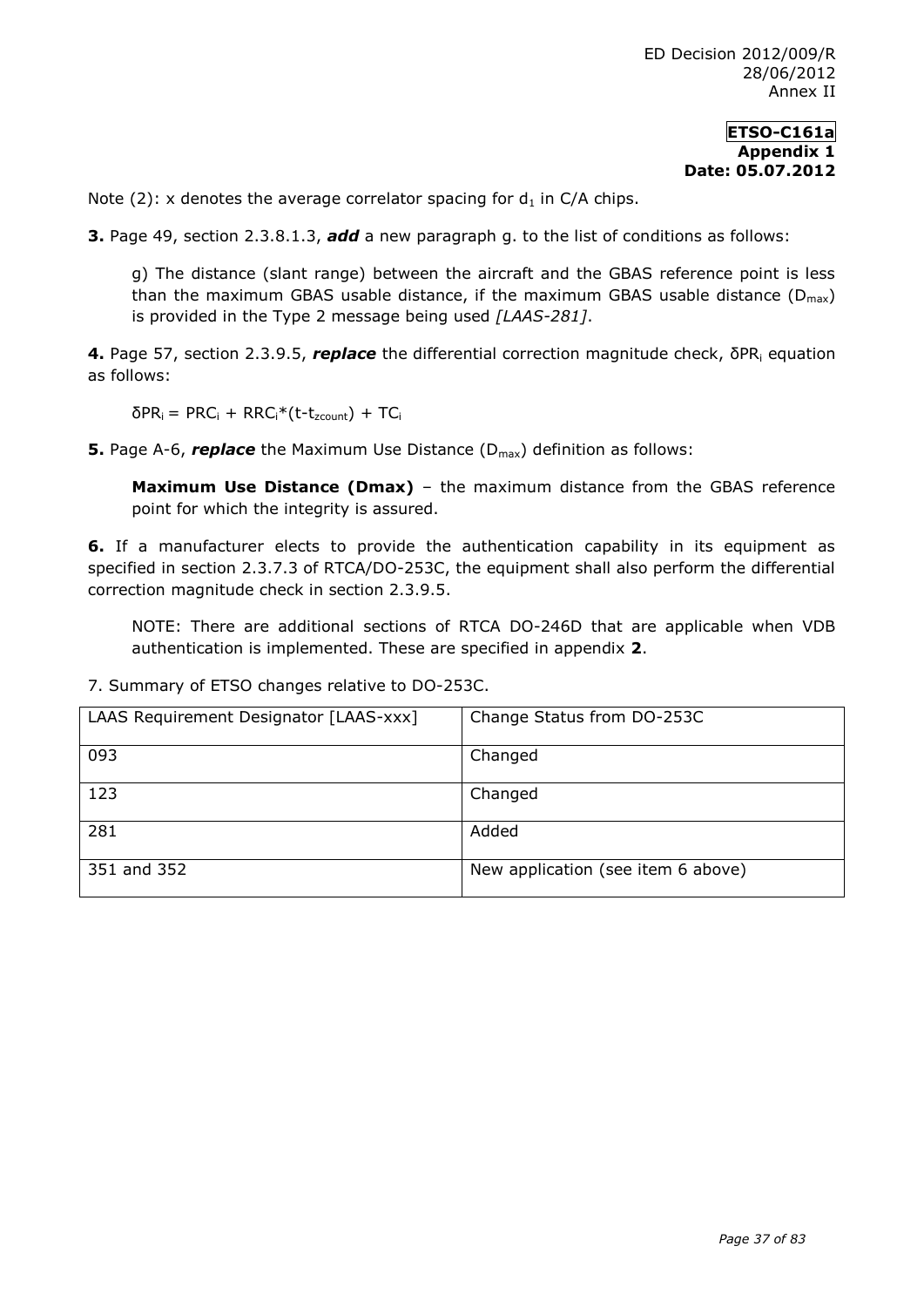### **ETSO-C161a Appendix 1 Date: 05.07.2012**

Note (2): x denotes the average correlator spacing for  $d_1$  in C/A chips.

**3.** Page 49, section 2.3.8.1.3, *add* a new paragraph g. to the list of conditions as follows:

g) The distance (slant range) between the aircraft and the GBAS reference point is less than the maximum GBAS usable distance, if the maximum GBAS usable distance  $(D_{max})$ is provided in the Type 2 message being used *[LAAS-281]*.

**4.** Page 57, section 2.3.9.5, **replace** the differential correction magnitude check, δPR<sub>i</sub> equation as follows:

 $δPR<sub>i</sub> = PRC<sub>i</sub> + RRC<sub>i</sub><sup>*</sup>(t-t<sub>zcount</sub>) + TC<sub>i</sub>$ 

**5.** Page A-6, **replace** the Maximum Use Distance (D<sub>max</sub>) definition as follows:

**Maximum Use Distance (Dmax)** – the maximum distance from the GBAS reference point for which the integrity is assured.

**6.** If a manufacturer elects to provide the authentication capability in its equipment as specified in section 2.3.7.3 of RTCA/DO-253C, the equipment shall also perform the differential correction magnitude check in section 2.3.9.5.

NOTE: There are additional sections of RTCA DO-246D that are applicable when VDB authentication is implemented. These are specified in appendix **2**.

| LAAS Requirement Designator [LAAS-xxx] | Change Status from DO-253C         |
|----------------------------------------|------------------------------------|
| 093                                    | Changed                            |
| 123                                    | Changed                            |
| 281                                    | Added                              |
| 351 and 352                            | New application (see item 6 above) |

7. Summary of ETSO changes relative to DO-253C.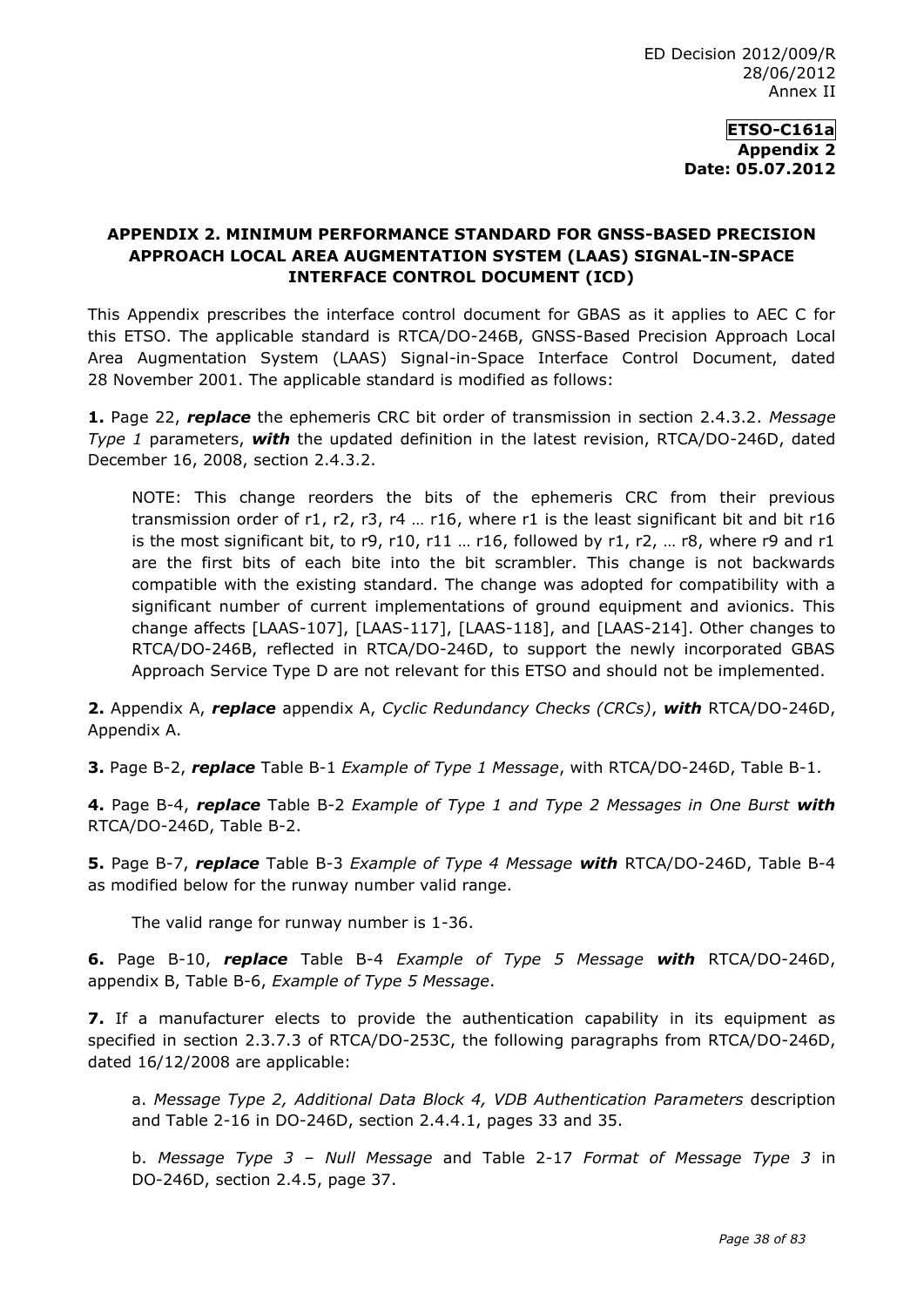**ETSO-C161a Appendix 2 Date: 05.07.2012**

# **APPENDIX 2. MINIMUM PERFORMANCE STANDARD FOR GNSS-BASED PRECISION APPROACH LOCAL AREA AUGMENTATION SYSTEM (LAAS) SIGNAL-IN-SPACE INTERFACE CONTROL DOCUMENT (ICD)**

This Appendix prescribes the interface control document for GBAS as it applies to AEC C for this ETSO. The applicable standard is RTCA/DO-246B, GNSS-Based Precision Approach Local Area Augmentation System (LAAS) Signal-in-Space Interface Control Document, dated 28 November 2001. The applicable standard is modified as follows:

**1.** Page 22, *replace* the ephemeris CRC bit order of transmission in section 2.4.3.2. *Message Type 1* parameters, *with* the updated definition in the latest revision, RTCA/DO-246D, dated December 16, 2008, section 2.4.3.2.

NOTE: This change reorders the bits of the ephemeris CRC from their previous transmission order of r1, r2, r3, r4 … r16, where r1 is the least significant bit and bit r16 is the most significant bit, to  $r9$ ,  $r10$ ,  $r11$  ...  $r16$ , followed by  $r1$ ,  $r2$ , ...  $r8$ , where  $r9$  and  $r1$ are the first bits of each bite into the bit scrambler. This change is not backwards compatible with the existing standard. The change was adopted for compatibility with a significant number of current implementations of ground equipment and avionics. This change affects [LAAS-107], [LAAS-117], [LAAS-118], and [LAAS-214]. Other changes to RTCA/DO-246B, reflected in RTCA/DO-246D, to support the newly incorporated GBAS Approach Service Type D are not relevant for this ETSO and should not be implemented.

**2.** Appendix A, *replace* appendix A, *Cyclic Redundancy Checks (CRCs)*, *with* RTCA/DO-246D, Appendix A.

**3.** Page B-2, *replace* Table B-1 *Example of Type 1 Message*, with RTCA/DO-246D, Table B-1.

**4.** Page B-4, *replace* Table B-2 *Example of Type 1 and Type 2 Messages in One Burst with* RTCA/DO-246D, Table B-2.

**5.** Page B-7, *replace* Table B-3 *Example of Type 4 Message with* RTCA/DO-246D, Table B-4 as modified below for the runway number valid range.

The valid range for runway number is 1-36.

**6.** Page B-10, *replace* Table B-4 *Example of Type 5 Message with* RTCA/DO-246D, appendix B, Table B-6, *Example of Type 5 Message*.

**7.** If a manufacturer elects to provide the authentication capability in its equipment as specified in section 2.3.7.3 of RTCA/DO-253C, the following paragraphs from RTCA/DO-246D, dated 16/12/2008 are applicable:

a. *Message Type 2, Additional Data Block 4, VDB Authentication Parameters* description and Table 2-16 in DO-246D, section 2.4.4.1, pages 33 and 35.

b. *Message Type 3 – Null Message* and Table 2-17 *Format of Message Type 3* in DO-246D, section 2.4.5, page 37.